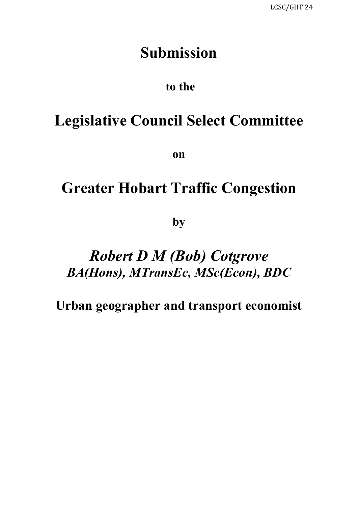# **Submission**

# **to the**

# **Legislative Council Select Committee**

**on**

# **Greater Hobart Traffic Congestion**

**by**

# *Robert D M (Bob) Cotgrove BA(Hons), MTransEc, MSc(Econ), BDC*

**Urban geographer and transport economist**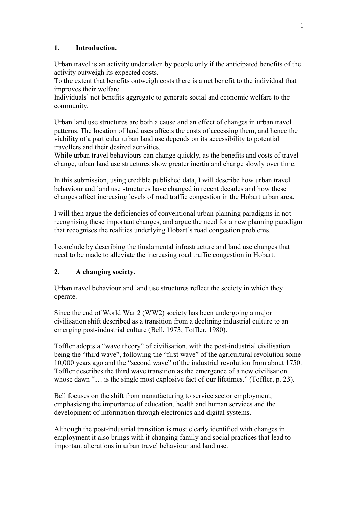# **1. Introduction.**

Urban travel is an activity undertaken by people only if the anticipated benefits of the activity outweigh its expected costs.

To the extent that benefits outweigh costs there is a net benefit to the individual that improves their welfare.

Individuals' net benefits aggregate to generate social and economic welfare to the community.

Urban land use structures are both a cause and an effect of changes in urban travel patterns. The location of land uses affects the costs of accessing them, and hence the viability of a particular urban land use depends on its accessibility to potential travellers and their desired activities.

While urban travel behaviours can change quickly, as the benefits and costs of travel change, urban land use structures show greater inertia and change slowly over time.

In this submission, using credible published data, I will describe how urban travel behaviour and land use structures have changed in recent decades and how these changes affect increasing levels of road traffic congestion in the Hobart urban area.

I will then argue the deficiencies of conventional urban planning paradigms in not recognising these important changes, and argue the need for a new planning paradigm that recognises the realities underlying Hobart's road congestion problems.

I conclude by describing the fundamental infrastructure and land use changes that need to be made to alleviate the increasing road traffic congestion in Hobart.

### **2. A changing society.**

Urban travel behaviour and land use structures reflect the society in which they operate.

Since the end of World War 2 (WW2) society has been undergoing a major civilisation shift described as a transition from a declining industrial culture to an emerging post-industrial culture (Bell, 1973; Toffler, 1980).

Toffler adopts a "wave theory" of civilisation, with the post-industrial civilisation being the "third wave", following the "first wave" of the agricultural revolution some 10,000 years ago and the "second wave" of the industrial revolution from about 1750. Toffler describes the third wave transition as the emergence of a new civilisation whose dawn "... is the single most explosive fact of our lifetimes." (Toffler, p. 23).

Bell focuses on the shift from manufacturing to service sector employment, emphasising the importance of education, health and human services and the development of information through electronics and digital systems.

Although the post-industrial transition is most clearly identified with changes in employment it also brings with it changing family and social practices that lead to important alterations in urban travel behaviour and land use.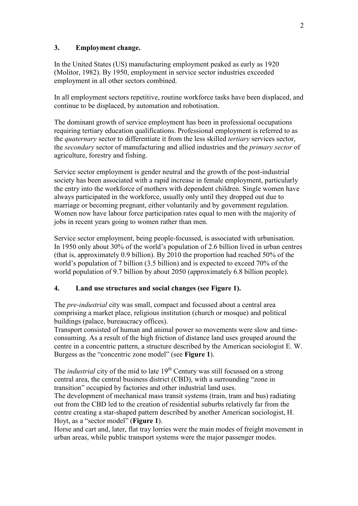## **3. Employment change.**

In the United States (US) manufacturing employment peaked as early as 1920 (Molitor, 1982). By 1950, employment in service sector industries exceeded employment in all other sectors combined.

In all employment sectors repetitive, routine workforce tasks have been displaced, and continue to be displaced, by automation and robotisation.

The dominant growth of service employment has been in professional occupations requiring tertiary education qualifications. Professional employment is referred to as the *quaternary* sector to differentiate it from the less skilled *tertiary* services sector, the *secondary* sector of manufacturing and allied industries and the *primary sector* of agriculture, forestry and fishing.

Service sector employment is gender neutral and the growth of the post-industrial society has been associated with a rapid increase in female employment, particularly the entry into the workforce of mothers with dependent children. Single women have always participated in the workforce, usually only until they dropped out due to marriage or becoming pregnant, either voluntarily and by government regulation. Women now have labour force participation rates equal to men with the majority of jobs in recent years going to women rather than men.

Service sector employment, being people-focussed, is associated with urbanisation. In 1950 only about 30% of the world's population of 2.6 billion lived in urban centres (that is, approximately 0.9 billion). By 2010 the proportion had reached 50% of the world's population of 7 billion (3.5 billion) and is expected to exceed 70% of the world population of 9.7 billion by about 2050 (approximately 6.8 billion people).

# **4. Land use structures and social changes (see Figure 1).**

The *pre-industrial* city was small, compact and focussed about a central area comprising a market place, religious institution (church or mosque) and political buildings (palace, bureaucracy offices).

Transport consisted of human and animal power so movements were slow and timeconsuming. As a result of the high friction of distance land uses grouped around the centre in a concentric pattern, a structure described by the American sociologist E. W. Burgess as the "concentric zone model" (see **Figure 1**).

The *industrial* city of the mid to late 19<sup>th</sup> Century was still focussed on a strong central area, the central business district (CBD), with a surrounding "zone in transition" occupied by factories and other industrial land uses.

The development of mechanical mass transit systems (train, tram and bus) radiating out from the CBD led to the creation of residential suburbs relatively far from the centre creating a star-shaped pattern described by another American sociologist, H. Hoyt, as a "sector model" (**Figure 1**).

Horse and cart and, later, flat tray lorries were the main modes of freight movement in urban areas, while public transport systems were the major passenger modes.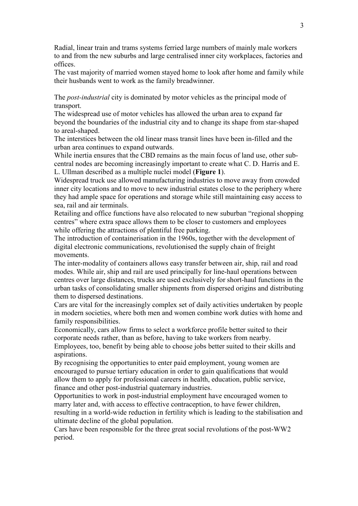Radial, linear train and trams systems ferried large numbers of mainly male workers to and from the new suburbs and large centralised inner city workplaces, factories and offices.

The vast majority of married women stayed home to look after home and family while their husbands went to work as the family breadwinner.

The *post-industrial* city is dominated by motor vehicles as the principal mode of transport.

The widespread use of motor vehicles has allowed the urban area to expand far beyond the boundaries of the industrial city and to change its shape from star-shaped to areal-shaped.

The interstices between the old linear mass transit lines have been in-filled and the urban area continues to expand outwards.

While inertia ensures that the CBD remains as the main focus of land use, other subcentral nodes are becoming increasingly important to create what C. D. Harris and E. L. Ullman described as a multiple nuclei model (**Figure 1**).

Widespread truck use allowed manufacturing industries to move away from crowded inner city locations and to move to new industrial estates close to the periphery where they had ample space for operations and storage while still maintaining easy access to sea, rail and air terminals.

Retailing and office functions have also relocated to new suburban "regional shopping centres" where extra space allows them to be closer to customers and employees while offering the attractions of plentiful free parking.

The introduction of containerisation in the 1960s, together with the development of digital electronic communications, revolutionised the supply chain of freight movements.

The inter-modality of containers allows easy transfer between air, ship, rail and road modes. While air, ship and rail are used principally for line-haul operations between centres over large distances, trucks are used exclusively for short-haul functions in the urban tasks of consolidating smaller shipments from dispersed origins and distributing them to dispersed destinations.

Cars are vital for the increasingly complex set of daily activities undertaken by people in modern societies, where both men and women combine work duties with home and family responsibilities.

Economically, cars allow firms to select a workforce profile better suited to their corporate needs rather, than as before, having to take workers from nearby.

Employees, too, benefit by being able to choose jobs better suited to their skills and aspirations.

By recognising the opportunities to enter paid employment, young women are encouraged to pursue tertiary education in order to gain qualifications that would allow them to apply for professional careers in health, education, public service, finance and other post-industrial quaternary industries.

Opportunities to work in post-industrial employment have encouraged women to marry later and, with access to effective contraception, to have fewer children, resulting in a world-wide reduction in fertility which is leading to the stabilisation and ultimate decline of the global population.

Cars have been responsible for the three great social revolutions of the post-WW2 period.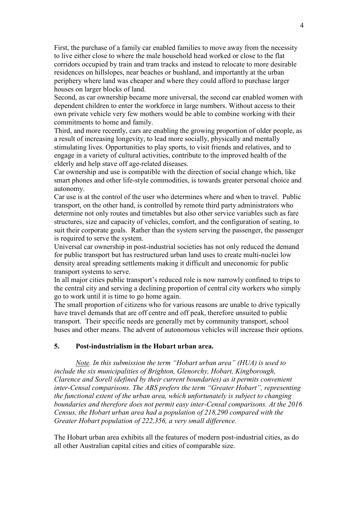First, the purchase of a family car enabled families to move away from the necessity to live either close to where the male household head worked or close to the flat corridors occupied by train and tram tracks and instead to relocate to more desirable residences on hillslopes, near beaches or bushland, and importantly at the urban periphery where land was cheaper and where they could afford to purchase larger houses on larger blocks of land.

Second, as car ownership became more universal, the second car enabled women with dependent children to enter the workforce in large numbers. Without access to their own private vehicle very few mothers would be able to combine working with their commitments to home and family.

Third, and more recently, cars are enabling the growing proportion of older people, as a result of increasing longevity, to lead more socially, physically and mentally stimulating lives. Opportunities to play sports, to visit friends and relatives, and to engage in a variety of cultural activities, contribute to the improved health of the elderly and help stave off age-related diseases.

Car ownership and use is compatible with the direction of social change which, like smart phones and other life-style commodities, is towards greater personal choice and autonomy.

Car use is at the control of the user who determines where and when to travel. Public transport, on the other hand, is controlled by remote third party administrators who determine not only routes and timetables but also other service variables such as fare structures, size and capacity of vehicles, comfort, and the configuration of seating, to suit their corporate goals. Rather than the system serving the passenger, the passenger is required to serve the system.

Universal car ownership in post-industrial societies has not only reduced the demand for public transport but has restructured urban land uses to create multi-nuclei low density areal spreading settlements making it difficult and uneconomic for public transport systems to serve.

In all major cities public transport's reduced role is now narrowly confined to trips to the central city and serving a declining proportion of central city workers who simply go to work until it is time to go home again.

The small proportion of citizens who for various reasons are unable to drive typically have travel demands that are off centre and off peak, therefore unsuited to public transport. Their specific needs are generally met by community transport, school buses and other means. The advent of autonomous vehicles will increase their options.

#### **5. Post-industrialism in the Hobart urban area.**

*Note. In this submission the term "Hobart urban area" (HUA) is used to include the six municipalities of Brighton, Glenorchy, Hobart, Kingborough, Clarence and Sorell (defined by their current boundaries) as it permits convenient inter-Censal comparisons. The ABS prefers the term "Greater Hobart", representing the functional extent of the urban area, which unfortunately is subject to changing boundaries and therefore does not permit easy inter-Censal comparisons. At the 2016 Census, the Hobart urban area had a population of 218,290 compared with the Greater Hobart population of 222,356, a very small difference.*

The Hobart urban area exhibits all the features of modern post-industrial cities, as do all other Australian capital cities and cities of comparable size.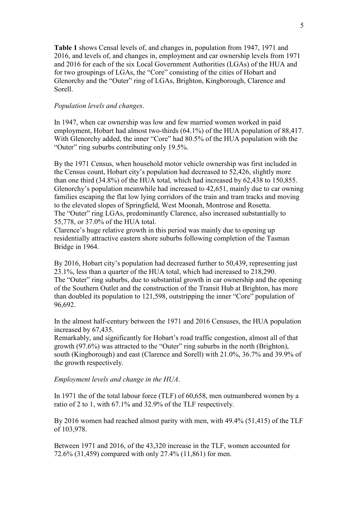**Table 1** shows Censal levels of, and changes in, population from 1947, 1971 and 2016, and levels of, and changes in, employment and car ownership levels from 1971 and 2016 for each of the six Local Government Authorities (LGAs) of the HUA and for two groupings of LGAs, the "Core" consisting of the cities of Hobart and Glenorchy and the "Outer" ring of LGAs, Brighton, Kingborough, Clarence and Sorell.

#### *Population levels and changes*.

In 1947, when car ownership was low and few married women worked in paid employment, Hobart had almost two-thirds (64.1%) of the HUA population of 88,417. With Glenorchy added, the inner "Core" had 80.5% of the HUA population with the "Outer" ring suburbs contributing only 19.5%.

By the 1971 Census, when household motor vehicle ownership was first included in the Census count, Hobart city's population had decreased to 52,426, slightly more than one third (34.8%) of the HUA total, which had increased by 62,438 to 150,855. Glenorchy's population meanwhile had increased to 42,651, mainly due to car owning families escaping the flat low lying corridors of the train and tram tracks and moving to the elevated slopes of Springfield, West Moonah, Montrose and Rosetta. The "Outer" ring LGAs, predominantly Clarence, also increased substantially to 55,778, or 37.0% of the HUA total.

Clarence's huge relative growth in this period was mainly due to opening up residentially attractive eastern shore suburbs following completion of the Tasman Bridge in 1964.

By 2016, Hobart city's population had decreased further to 50,439, representing just 23.1%, less than a quarter of the HUA total, which had increased to 218,290. The "Outer" ring suburbs, due to substantial growth in car ownership and the opening of the Southern Outlet and the construction of the Transit Hub at Brighton, has more than doubled its population to 121,598, outstripping the inner "Core" population of 96,692.

In the almost half-century between the 1971 and 2016 Censuses, the HUA population increased by 67,435.

Remarkably, and significantly for Hobart's road traffic congestion, almost all of that growth (97.6%) was attracted to the "Outer" ring suburbs in the north (Brighton), south (Kingborough) and east (Clarence and Sorell) with 21.0%, 36.7% and 39.9% of the growth respectively.

#### *Employment levels and change in the HUA*.

In 1971 the of the total labour force (TLF) of 60,658, men outnumbered women by a ratio of 2 to 1, with 67.1% and 32.9% of the TLF respectively.

By 2016 women had reached almost parity with men, with 49.4% (51,415) of the TLF of 103,978.

Between 1971 and 2016, of the 43,320 increase in the TLF, women accounted for 72.6% (31,459) compared with only 27.4% (11,861) for men.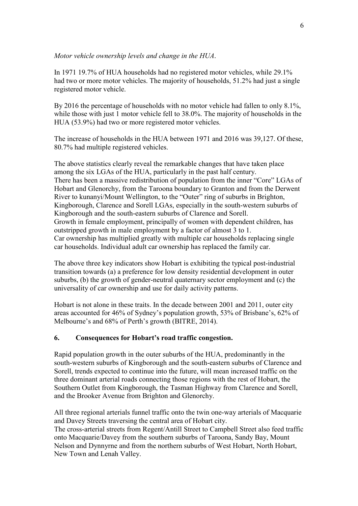#### *Motor vehicle ownership levels and change in the HUA*.

In 1971 19.7% of HUA households had no registered motor vehicles, while 29.1% had two or more motor vehicles. The majority of households, 51.2% had just a single registered motor vehicle.

By 2016 the percentage of households with no motor vehicle had fallen to only 8.1%, while those with just 1 motor vehicle fell to 38.0%. The majority of households in the HUA (53.9%) had two or more registered motor vehicles.

The increase of households in the HUA between 1971 and 2016 was 39,127. Of these, 80.7% had multiple registered vehicles.

The above statistics clearly reveal the remarkable changes that have taken place among the six LGAs of the HUA, particularly in the past half century. There has been a massive redistribution of population from the inner "Core" LGAs of Hobart and Glenorchy, from the Taroona boundary to Granton and from the Derwent River to kunanyi/Mount Wellington, to the "Outer" ring of suburbs in Brighton, Kingborough, Clarence and Sorell LGAs, especially in the south-western suburbs of Kingborough and the south-eastern suburbs of Clarence and Sorell. Growth in female employment, principally of women with dependent children, has outstripped growth in male employment by a factor of almost 3 to 1. Car ownership has multiplied greatly with multiple car households replacing single car households. Individual adult car ownership has replaced the family car.

The above three key indicators show Hobart is exhibiting the typical post-industrial transition towards (a) a preference for low density residential development in outer suburbs, (b) the growth of gender-neutral quaternary sector employment and (c) the universality of car ownership and use for daily activity patterns.

Hobart is not alone in these traits. In the decade between 2001 and 2011, outer city areas accounted for 46% of Sydney's population growth, 53% of Brisbane's, 62% of Melbourne's and 68% of Perth's growth (BITRE, 2014).

#### **6. Consequences for Hobart's road traffic congestion.**

Rapid population growth in the outer suburbs of the HUA, predominantly in the south-western suburbs of Kingborough and the south-eastern suburbs of Clarence and Sorell, trends expected to continue into the future, will mean increased traffic on the three dominant arterial roads connecting those regions with the rest of Hobart, the Southern Outlet from Kingborough, the Tasman Highway from Clarence and Sorell, and the Brooker Avenue from Brighton and Glenorchy.

All three regional arterials funnel traffic onto the twin one-way arterials of Macquarie and Davey Streets traversing the central area of Hobart city. The cross-arterial streets from Regent/Antill Street to Campbell Street also feed traffic onto Macquarie/Davey from the southern suburbs of Taroona, Sandy Bay, Mount Nelson and Dynnyrne and from the northern suburbs of West Hobart, North Hobart, New Town and Lenah Valley.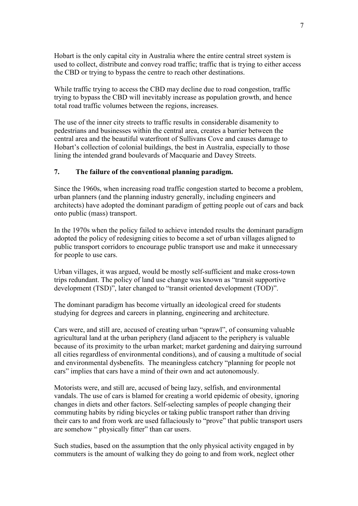Hobart is the only capital city in Australia where the entire central street system is used to collect, distribute and convey road traffic; traffic that is trying to either access the CBD or trying to bypass the centre to reach other destinations.

While traffic trying to access the CBD may decline due to road congestion, traffic trying to bypass the CBD will inevitably increase as population growth, and hence total road traffic volumes between the regions, increases.

The use of the inner city streets to traffic results in considerable disamenity to pedestrians and businesses within the central area, creates a barrier between the central area and the beautiful waterfront of Sullivans Cove and causes damage to Hobart's collection of colonial buildings, the best in Australia, especially to those lining the intended grand boulevards of Macquarie and Davey Streets.

# **7. The failure of the conventional planning paradigm.**

Since the 1960s, when increasing road traffic congestion started to become a problem, urban planners (and the planning industry generally, including engineers and architects) have adopted the dominant paradigm of getting people out of cars and back onto public (mass) transport.

In the 1970s when the policy failed to achieve intended results the dominant paradigm adopted the policy of redesigning cities to become a set of urban villages aligned to public transport corridors to encourage public transport use and make it unnecessary for people to use cars.

Urban villages, it was argued, would be mostly self-sufficient and make cross-town trips redundant. The policy of land use change was known as "transit supportive development (TSD)", later changed to "transit oriented development (TOD)".

The dominant paradigm has become virtually an ideological creed for students studying for degrees and careers in planning, engineering and architecture.

Cars were, and still are, accused of creating urban "sprawl", of consuming valuable agricultural land at the urban periphery (land adjacent to the periphery is valuable because of its proximity to the urban market; market gardening and dairying surround all cities regardless of environmental conditions), and of causing a multitude of social and environmental dysbenefits. The meaningless catchcry "planning for people not cars" implies that cars have a mind of their own and act autonomously.

Motorists were, and still are, accused of being lazy, selfish, and environmental vandals. The use of cars is blamed for creating a world epidemic of obesity, ignoring changes in diets and other factors. Self-selecting samples of people changing their commuting habits by riding bicycles or taking public transport rather than driving their cars to and from work are used fallaciously to "prove" that public transport users are somehow " physically fitter" than car users.

Such studies, based on the assumption that the only physical activity engaged in by commuters is the amount of walking they do going to and from work, neglect other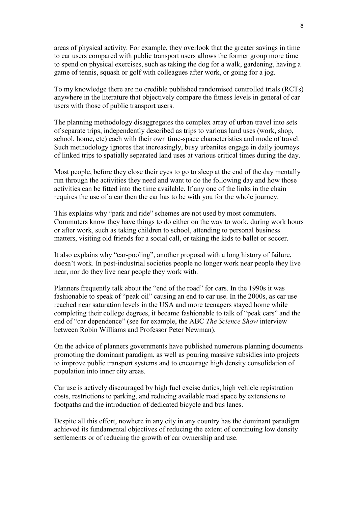areas of physical activity. For example, they overlook that the greater savings in time to car users compared with public transport users allows the former group more time to spend on physical exercises, such as taking the dog for a walk, gardening, having a game of tennis, squash or golf with colleagues after work, or going for a jog.

To my knowledge there are no credible published randomised controlled trials (RCTs) anywhere in the literature that objectively compare the fitness levels in general of car users with those of public transport users.

The planning methodology disaggregates the complex array of urban travel into sets of separate trips, independently described as trips to various land uses (work, shop, school, home, etc) each with their own time-space characteristics and mode of travel. Such methodology ignores that increasingly, busy urbanites engage in daily journeys of linked trips to spatially separated land uses at various critical times during the day.

Most people, before they close their eyes to go to sleep at the end of the day mentally run through the activities they need and want to do the following day and how those activities can be fitted into the time available. If any one of the links in the chain requires the use of a car then the car has to be with you for the whole journey.

This explains why "park and ride" schemes are not used by most commuters. Commuters know they have things to do either on the way to work, during work hours or after work, such as taking children to school, attending to personal business matters, visiting old friends for a social call, or taking the kids to ballet or soccer.

It also explains why "car-pooling", another proposal with a long history of failure, doesn't work. In post-industrial societies people no longer work near people they live near, nor do they live near people they work with.

Planners frequently talk about the "end of the road" for cars. In the 1990s it was fashionable to speak of "peak oil" causing an end to car use. In the 2000s, as car use reached near saturation levels in the USA and more teenagers stayed home while completing their college degrees, it became fashionable to talk of "peak cars" and the end of "car dependence" (see for example, the ABC *The Science Show* interview between Robin Williams and Professor Peter Newman).

On the advice of planners governments have published numerous planning documents promoting the dominant paradigm, as well as pouring massive subsidies into projects to improve public transport systems and to encourage high density consolidation of population into inner city areas.

Car use is actively discouraged by high fuel excise duties, high vehicle registration costs, restrictions to parking, and reducing available road space by extensions to footpaths and the introduction of dedicated bicycle and bus lanes.

Despite all this effort, nowhere in any city in any country has the dominant paradigm achieved its fundamental objectives of reducing the extent of continuing low density settlements or of reducing the growth of car ownership and use.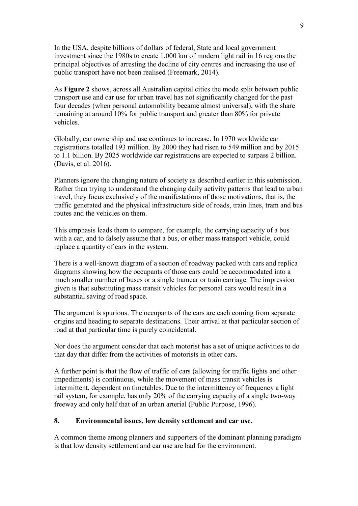In the USA, despite billions of dollars of federal, State and local government investment since the 1980s to create 1,000 km of modern light rail in 16 regions the principal objectives of arresting the decline of city centres and increasing the use of public transport have not been realised (Freemark, 2014).

As **Figure 2** shows, across all Australian capital cities the mode split between public transport use and car use for urban travel has not significantly changed for the past four decades (when personal automobility became almost universal), with the share remaining at around 10% for public transport and greater than 80% for private vehicles.

Globally, car ownership and use continues to increase. In 1970 worldwide car registrations totalled 193 million. By 2000 they had risen to 549 million and by 2015 to 1.1 billion. By 2025 worldwide car registrations are expected to surpass 2 billion. (Davis, et al. 2016).

Planners ignore the changing nature of society as described earlier in this submission. Rather than trying to understand the changing daily activity patterns that lead to urban travel, they focus exclusively of the manifestations of those motivations, that is, the traffic generated and the physical infrastructure side of roads, train lines, tram and bus routes and the vehicles on them.

This emphasis leads them to compare, for example, the carrying capacity of a bus with a car, and to falsely assume that a bus, or other mass transport vehicle, could replace a quantity of cars in the system.

There is a well-known diagram of a section of roadway packed with cars and replica diagrams showing how the occupants of those cars could be accommodated into a much smaller number of buses or a single tramcar or train carriage. The impression given is that substituting mass transit vehicles for personal cars would result in a substantial saving of road space.

The argument is spurious. The occupants of the cars are each coming from separate origins and heading to separate destinations. Their arrival at that particular section of road at that particular time is purely coincidental.

Nor does the argument consider that each motorist has a set of unique activities to do that day that differ from the activities of motorists in other cars.

A further point is that the flow of traffic of cars (allowing for traffic lights and other impediments) is continuous, while the movement of mass transit vehicles is intermittent, dependent on timetables. Due to the intermittency of frequency a light rail system, for example, has only 20% of the carrying capacity of a single two-way freeway and only half that of an urban arterial (Public Purpose, 1996).

### **8. Environmental issues, low density settlement and car use.**

A common theme among planners and supporters of the dominant planning paradigm is that low density settlement and car use are bad for the environment.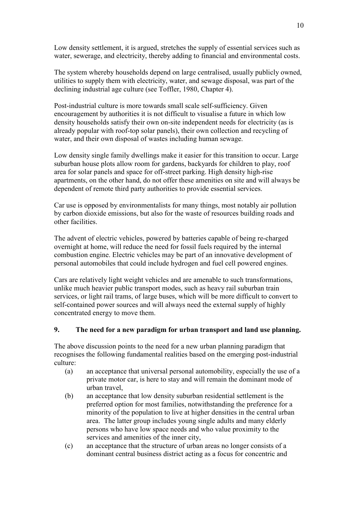Low density settlement, it is argued, stretches the supply of essential services such as water, sewerage, and electricity, thereby adding to financial and environmental costs.

The system whereby households depend on large centralised, usually publicly owned, utilities to supply them with electricity, water, and sewage disposal, was part of the declining industrial age culture (see Toffler, 1980, Chapter 4).

Post-industrial culture is more towards small scale self-sufficiency. Given encouragement by authorities it is not difficult to visualise a future in which low density households satisfy their own on-site independent needs for electricity (as is already popular with roof-top solar panels), their own collection and recycling of water, and their own disposal of wastes including human sewage.

Low density single family dwellings make it easier for this transition to occur. Large suburban house plots allow room for gardens, backyards for children to play, roof area for solar panels and space for off-street parking. High density high-rise apartments, on the other hand, do not offer these amenities on site and will always be dependent of remote third party authorities to provide essential services.

Car use is opposed by environmentalists for many things, most notably air pollution by carbon dioxide emissions, but also for the waste of resources building roads and other facilities.

The advent of electric vehicles, powered by batteries capable of being re-charged overnight at home, will reduce the need for fossil fuels required by the internal combustion engine. Electric vehicles may be part of an innovative development of personal automobiles that could include hydrogen and fuel cell powered engines.

Cars are relatively light weight vehicles and are amenable to such transformations, unlike much heavier public transport modes, such as heavy rail suburban train services, or light rail trams, of large buses, which will be more difficult to convert to self-contained power sources and will always need the external supply of highly concentrated energy to move them.

## **9. The need for a new paradigm for urban transport and land use planning.**

The above discussion points to the need for a new urban planning paradigm that recognises the following fundamental realities based on the emerging post-industrial culture:

- (a) an acceptance that universal personal automobility, especially the use of a private motor car, is here to stay and will remain the dominant mode of urban travel,
- (b) an acceptance that low density suburban residential settlement is the preferred option for most families, notwithstanding the preference for a minority of the population to live at higher densities in the central urban area. The latter group includes young single adults and many elderly persons who have low space needs and who value proximity to the services and amenities of the inner city,
- (c) an acceptance that the structure of urban areas no longer consists of a dominant central business district acting as a focus for concentric and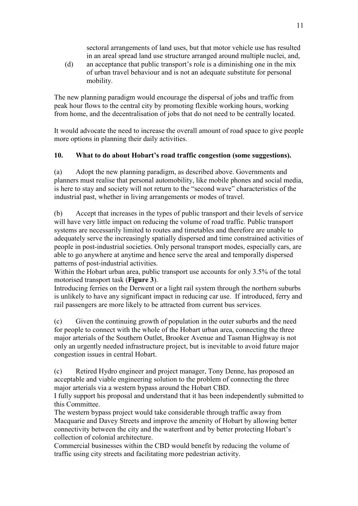sectoral arrangements of land uses, but that motor vehicle use has resulted in an areal spread land use structure arranged around multiple nuclei, and,

(d) an acceptance that public transport's role is a diminishing one in the mix of urban travel behaviour and is not an adequate substitute for personal mobility.

The new planning paradigm would encourage the dispersal of jobs and traffic from peak hour flows to the central city by promoting flexible working hours, working from home, and the decentralisation of jobs that do not need to be centrally located.

It would advocate the need to increase the overall amount of road space to give people more options in planning their daily activities.

# **10. What to do about Hobart's road traffic congestion (some suggestions).**

(a) Adopt the new planning paradigm, as described above. Governments and planners must realise that personal automobility, like mobile phones and social media, is here to stay and society will not return to the "second wave" characteristics of the industrial past, whether in living arrangements or modes of travel.

(b) Accept that increases in the types of public transport and their levels of service will have very little impact on reducing the volume of road traffic. Public transport systems are necessarily limited to routes and timetables and therefore are unable to adequately serve the increasingly spatially dispersed and time constrained activities of people in post-industrial societies. Only personal transport modes, especially cars, are able to go anywhere at anytime and hence serve the areal and temporally dispersed patterns of post-industrial activities.

Within the Hobart urban area, public transport use accounts for only 3.5% of the total motorised transport task (**Figure 3**).

Introducing ferries on the Derwent or a light rail system through the northern suburbs is unlikely to have any significant impact in reducing car use. If introduced, ferry and rail passengers are more likely to be attracted from current bus services.

(c) Given the continuing growth of population in the outer suburbs and the need for people to connect with the whole of the Hobart urban area, connecting the three major arterials of the Southern Outlet, Brooker Avenue and Tasman Highway is not only an urgently needed infrastructure project, but is inevitable to avoid future major congestion issues in central Hobart.

(c) Retired Hydro engineer and project manager, Tony Denne, has proposed an acceptable and viable engineering solution to the problem of connecting the three major arterials via a western bypass around the Hobart CBD.

I fully support his proposal and understand that it has been independently submitted to this Committee.

The western bypass project would take considerable through traffic away from Macquarie and Davey Streets and improve the amenity of Hobart by allowing better connectivity between the city and the waterfront and by better protecting Hobart's collection of colonial architecture.

Commercial businesses within the CBD would benefit by reducing the volume of traffic using city streets and facilitating more pedestrian activity.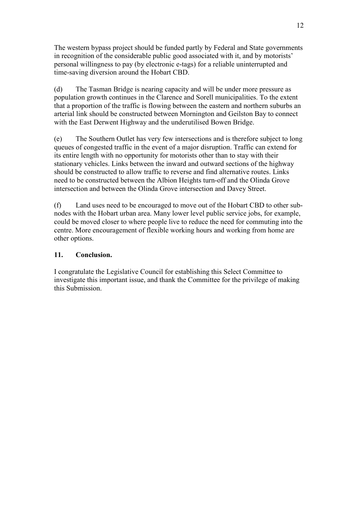The western bypass project should be funded partly by Federal and State governments in recognition of the considerable public good associated with it, and by motorists' personal willingness to pay (by electronic e-tags) for a reliable uninterrupted and time-saving diversion around the Hobart CBD.

(d) The Tasman Bridge is nearing capacity and will be under more pressure as population growth continues in the Clarence and Sorell municipalities. To the extent that a proportion of the traffic is flowing between the eastern and northern suburbs an arterial link should be constructed between Mornington and Geilston Bay to connect with the East Derwent Highway and the underutilised Bowen Bridge.

(e) The Southern Outlet has very few intersections and is therefore subject to long queues of congested traffic in the event of a major disruption. Traffic can extend for its entire length with no opportunity for motorists other than to stay with their stationary vehicles. Links between the inward and outward sections of the highway should be constructed to allow traffic to reverse and find alternative routes. Links need to be constructed between the Albion Heights turn-off and the Olinda Grove intersection and between the Olinda Grove intersection and Davey Street.

(f) Land uses need to be encouraged to move out of the Hobart CBD to other subnodes with the Hobart urban area. Many lower level public service jobs, for example, could be moved closer to where people live to reduce the need for commuting into the centre. More encouragement of flexible working hours and working from home are other options.

### **11. Conclusion.**

I congratulate the Legislative Council for establishing this Select Committee to investigate this important issue, and thank the Committee for the privilege of making this Submission.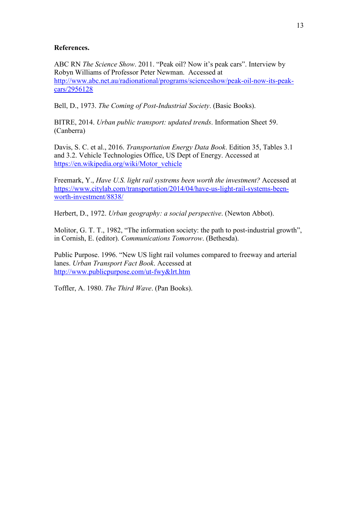#### **References.**

ABC RN *The Science Show*. 2011. "Peak oil? Now it's peak cars". Interview by Robyn Williams of Professor Peter Newman. Accessed at [http://www.abc.net.au/radionational/programs/scienceshow/peak-oil-now-its-peak](http://www.abc.net.au/radionational/programs/scienceshow/peak-oil-now-its-peak-cars/2956128)[cars/2956128](http://www.abc.net.au/radionational/programs/scienceshow/peak-oil-now-its-peak-cars/2956128)

Bell, D., 1973. *The Coming of Post-Industrial Society*. (Basic Books).

BITRE, 2014. *Urban public transport: updated trends*. Information Sheet 59. (Canberra)

Davis, S. C. et al., 2016. *Transportation Energy Data Book*. Edition 35, Tables 3.1 and 3.2. Vehicle Technologies Office, US Dept of Energy. Accessed at [https://en.wikipedia.org/wiki/Motor\\_vehicle](https://en.wikipedia.org/wiki/Motor_vehicle)

Freemark, Y., *Have U.S. light rail systrems been worth the investment?* Accessed at [https://www.citylab.com/transportation/2014/04/have-us-light-rail-systems-been](https://www.citylab.com/transportation/2014/04/have-us-light-rail-systems-been-worth-investment/8838/)[worth-investment/8838/](https://www.citylab.com/transportation/2014/04/have-us-light-rail-systems-been-worth-investment/8838/)

Herbert, D., 1972. *Urban geography: a social perspective*. (Newton Abbot).

Molitor, G. T. T., 1982, "The information society: the path to post-industrial growth", in Cornish, E. (editor). *Communications Tomorrow*. (Bethesda).

Public Purpose. 1996. "New US light rail volumes compared to freeway and arterial lanes. *Urban Transport Fact Book*. Accessed at <http://www.publicpurpose.com/ut-fwy&lrt.htm>

Toffler, A. 1980. *The Third Wave*. (Pan Books).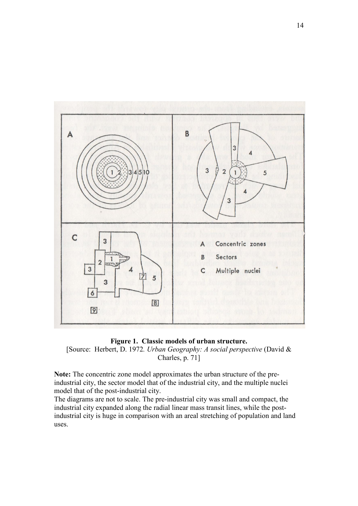

# **Figure 1. Classic models of urban structure.** [Source: Herbert, D. 1972*. Urban Geography: A social perspective* (David & Charles, p. 71]

**Note:** The concentric zone model approximates the urban structure of the preindustrial city, the sector model that of the industrial city, and the multiple nuclei model that of the post-industrial city.

The diagrams are not to scale. The pre-industrial city was small and compact, the industrial city expanded along the radial linear mass transit lines, while the postindustrial city is huge in comparison with an areal stretching of population and land uses.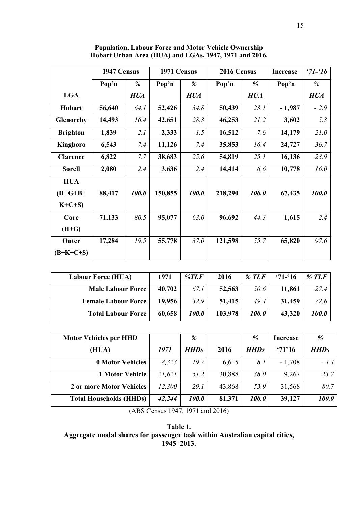|                  | 1947 Census |                     | 1971 Census |                     | 2016 Census |            | <b>Increase</b> | $31 - 16$   |
|------------------|-------------|---------------------|-------------|---------------------|-------------|------------|-----------------|-------------|
|                  | Pop'n       | %                   | Pop'n       | %                   | Pop'n       | %          | Pop'n           | %           |
| <b>LGA</b>       |             | <b>HUA</b>          |             | <b>HUA</b>          |             | <b>HUA</b> |                 | <b>HUA</b>  |
| Hobart           | 56,640      | 64.1                | 52,426      | 34.8                | 50,439      | 23.1       | $-1,987$        | $-2.9$      |
| <b>Glenorchy</b> | 14,493      | 16.4                | 42,651      | 28.3                | 46,253      | 21.2       | 3,602           | 5.3         |
| <b>Brighton</b>  | 1,839       | 2.1                 | 2,333       | 1.5                 | 16,512      | 7.6        | 14,179          | <i>21.0</i> |
| Kingboro         | 6,543       | 7.4                 | 11,126      | 7.4                 | 35,853      | 16.4       | 24,727          | 36.7        |
| <b>Clarence</b>  | 6,822       | 7.7                 | 38,683      | 25.6                | 54,819      | 25.1       | 16,136          | 23.9        |
| <b>Sorell</b>    | 2,080       | 2.4                 | 3,636       | 2.4                 | 14,414      | 6.6        | 10,778          | 16.0        |
| <b>HUA</b>       |             |                     |             |                     |             |            |                 |             |
| $(H+G+B+$        | 88,417      | <i><b>100.0</b></i> | 150,855     | <i><b>100.0</b></i> | 218,290     | 100.0      | 67,435          | 100.0       |
| $K+C+S$          |             |                     |             |                     |             |            |                 |             |
| Core             | 71,133      | 80.5                | 95,077      | 63.0                | 96,692      | 44.3       | 1,615           | 2.4         |
| $(H + G)$        |             |                     |             |                     |             |            |                 |             |
| Outer            | 17,284      | 19.5                | 55,778      | 37.0                | 121,598     | 55.7       | 65,820          | 97.6        |
| $(B+K+C+S)$      |             |                     |             |                     |             |            |                 |             |

**Population, Labour Force and Motor Vehicle Ownership Hobart Urban Area (HUA) and LGAs, 1947, 1971 and 2016.**

| <b>Labour Force (HUA)</b>  | 1971   | % $TLF$             | 2016    | $\%$ TLF            | $31 - 16$ | $\%$ TLF |
|----------------------------|--------|---------------------|---------|---------------------|-----------|----------|
| <b>Male Labour Force</b>   | 40,702 | 67.1                | 52,563  | 50.6                | 11,861    | 27.4     |
| <b>Female Labour Force</b> | 19,956 | 32.9                | 51,415  | 49.4                | 31,459    | 72.6     |
| <b>Total Labour Force</b>  | 60,658 | <i><b>100.0</b></i> | 103,978 | <i><b>100.0</b></i> | 43,320    | 100.0    |

| <b>Motor Vehicles per HHD</b>  |        | %           |        | %           | Increase | %           |
|--------------------------------|--------|-------------|--------|-------------|----------|-------------|
| (HUA)                          | 1971   | <b>HHDs</b> | 2016   | <b>HHDs</b> | 371'16   | <b>HHDs</b> |
| <b>0 Motor Vehicles</b>        | 8.323  | 19.7        | 6,615  | 8.1         | $-1,708$ | $-4.4$      |
| <b>1 Motor Vehicle</b>         | 21,621 | 51.2        | 30,888 | 38.0        | 9,267    | 23.7        |
| 2 or more Motor Vehicles       | 12,300 | 29.1        | 43,868 | 53.9        | 31,568   | 80.7        |
| <b>Total Households (HHDs)</b> | 42,244 | 100.0       | 81,371 | 100.0       | 39,127   | 100.0       |

(ABS Census 1947, 1971 and 2016)

**Table 1. Aggregate modal shares for passenger task within Australian capital cities, 1945–2013.**